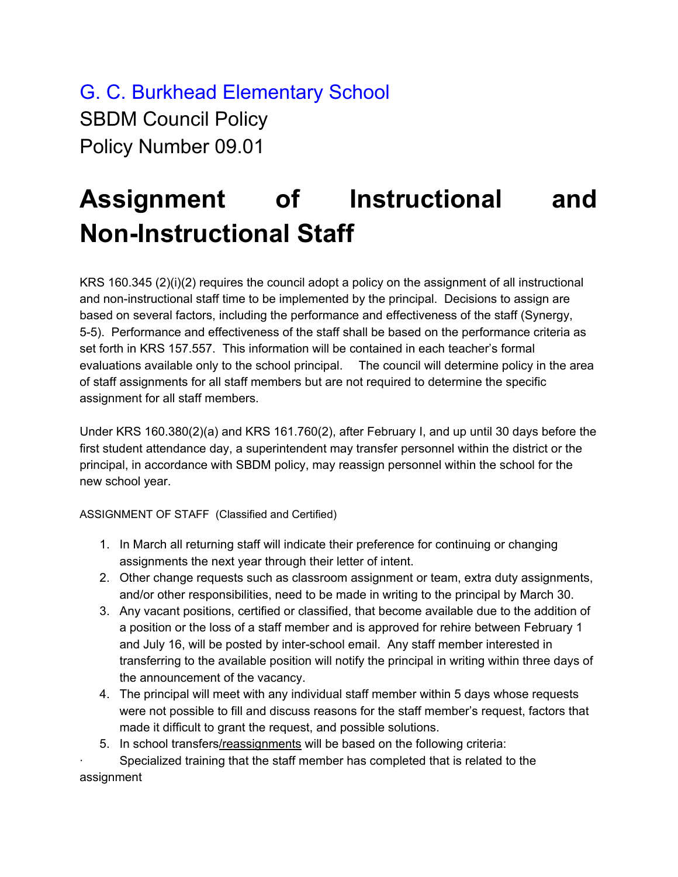G. C. Burkhead Elementary School SBDM Council Policy Policy Number 09.01

## **Assignment of Instructional and Non-Instructional Staff**

KRS 160.345 (2)(i)(2) requires the council adopt a policy on the assignment of all instructional and non-instructional staff time to be implemented by the principal. Decisions to assign are based on several factors, including the performance and effectiveness of the staff (Synergy, 5-5). Performance and effectiveness of the staff shall be based on the performance criteria as set forth in KRS 157.557. This information will be contained in each teacher's formal evaluations available only to the school principal. The council will determine policy in the area of staff assignments for all staff members but are not required to determine the specific assignment for all staff members.

Under KRS 160.380(2)(a) and KRS 161.760(2), after February I, and up until 30 days before the first student attendance day, a superintendent may transfer personnel within the district or the principal, in accordance with SBDM policy, may reassign personnel within the school for the new school year.

ASSIGNMENT OF STAFF (Classified and Certified)

- 1. In March all returning staff will indicate their preference for continuing or changing assignments the next year through their letter of intent.
- 2. Other change requests such as classroom assignment or team, extra duty assignments, and/or other responsibilities, need to be made in writing to the principal by March 30.
- 3. Any vacant positions, certified or classified, that become available due to the addition of a position or the loss of a staff member and is approved for rehire between February 1 and July 16, will be posted by inter-school email. Any staff member interested in transferring to the available position will notify the principal in writing within three days of the announcement of the vacancy.
- 4. The principal will meet with any individual staff member within 5 days whose requests were not possible to fill and discuss reasons for the staff member's request, factors that made it difficult to grant the request, and possible solutions.
- 5. In school transfers/reassignments will be based on the following criteria:

Specialized training that the staff member has completed that is related to the assignment